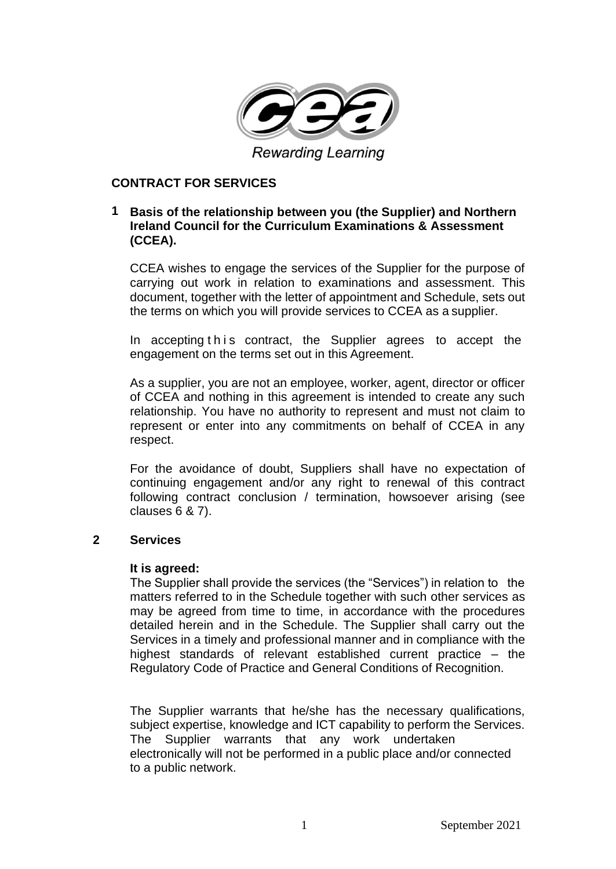

## **CONTRACT FOR SERVICES**

## **1 Basis of the relationship between you (the Supplier) and Northern Ireland Council for the Curriculum Examinations & Assessment (CCEA).**

CCEA wishes to engage the services of the Supplier for the purpose of carrying out work in relation to examinations and assessment. This document, together with the letter of appointment and Schedule, sets out the terms on which you will provide services to CCEA as a supplier.

In accepting this contract, the Supplier agrees to accept the engagement on the terms set out in this Agreement.

As a supplier, you are not an employee, worker, agent, director or officer of CCEA and nothing in this agreement is intended to create any such relationship. You have no authority to represent and must not claim to represent or enter into any commitments on behalf of CCEA in any respect.

For the avoidance of doubt, Suppliers shall have no expectation of continuing engagement and/or any right to renewal of this contract following contract conclusion / termination, howsoever arising (see clauses 6 & 7).

#### **2 Services**

#### **It is agreed:**

The Supplier shall provide the services (the "Services") in relation to the matters referred to in the Schedule together with such other services as may be agreed from time to time, in accordance with the procedures detailed herein and in the Schedule. The Supplier shall carry out the Services in a timely and professional manner and in compliance with the highest standards of relevant established current practice – the Regulatory Code of Practice and General Conditions of Recognition.

The Supplier warrants that he/she has the necessary qualifications, subject expertise, knowledge and ICT capability to perform the Services. The Supplier warrants that any work undertaken electronically will not be performed in a public place and/or connected to a public network.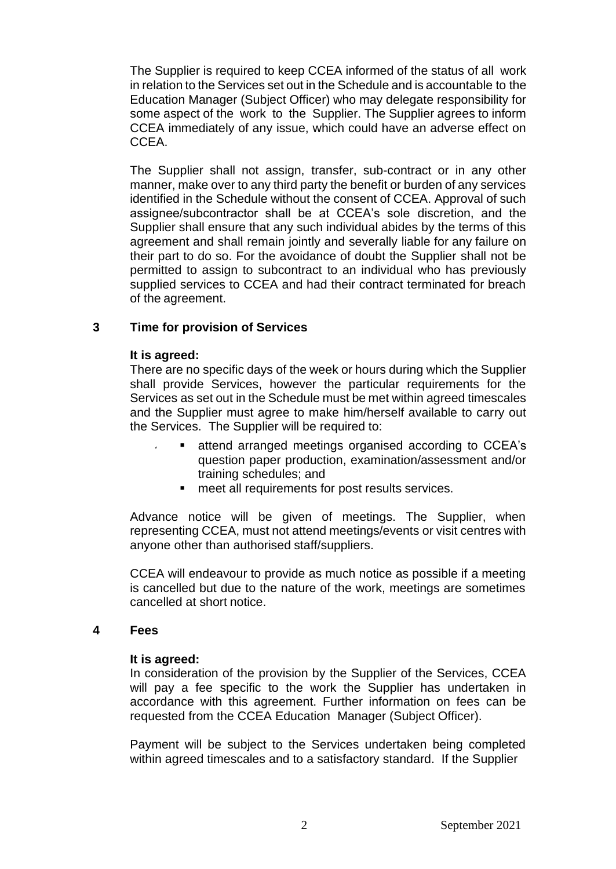The Supplier is required to keep CCEA informed of the status of all work in relation to the Services set out in the Schedule and is accountable to the Education Manager (Subject Officer) who may delegate responsibility for some aspect of the work to the Supplier. The Supplier agrees to inform CCEA immediately of any issue, which could have an adverse effect on CCEA.

The Supplier shall not assign, transfer, sub-contract or in any other manner, make over to any third party the benefit or burden of any services identified in the Schedule without the consent of CCEA. Approval of such assignee/subcontractor shall be at CCEA's sole discretion, and the Supplier shall ensure that any such individual abides by the terms of this agreement and shall remain jointly and severally liable for any failure on their part to do so. For the avoidance of doubt the Supplier shall not be permitted to assign to subcontract to an individual who has previously supplied services to CCEA and had their contract terminated for breach of the agreement.

## **3 Time for provision of Services**

#### **It is agreed:**

There are no specific days of the week or hours during which the Supplier shall provide Services, however the particular requirements for the Services as set out in the Schedule must be met within agreed timescales and the Supplier must agree to make him/herself available to carry out the Services. The Supplier will be required to:

- attend arranged meetings organised according to CCEA's question paper production, examination/assessment and/or training schedules; and
	- meet all requirements for post results services.

Advance notice will be given of meetings. The Supplier, when representing CCEA, must not attend meetings/events or visit centres with anyone other than authorised staff/suppliers.

CCEA will endeavour to provide as much notice as possible if a meeting is cancelled but due to the nature of the work, meetings are sometimes cancelled at short notice.

#### **4 Fees**

#### **It is agreed:**

In consideration of the provision by the Supplier of the Services, CCEA will pay a fee specific to the work the Supplier has undertaken in accordance with this agreement. Further information on fees can be requested from the CCEA Education Manager (Subject Officer).

Payment will be subject to the Services undertaken being completed within agreed timescales and to a satisfactory standard. If the Supplier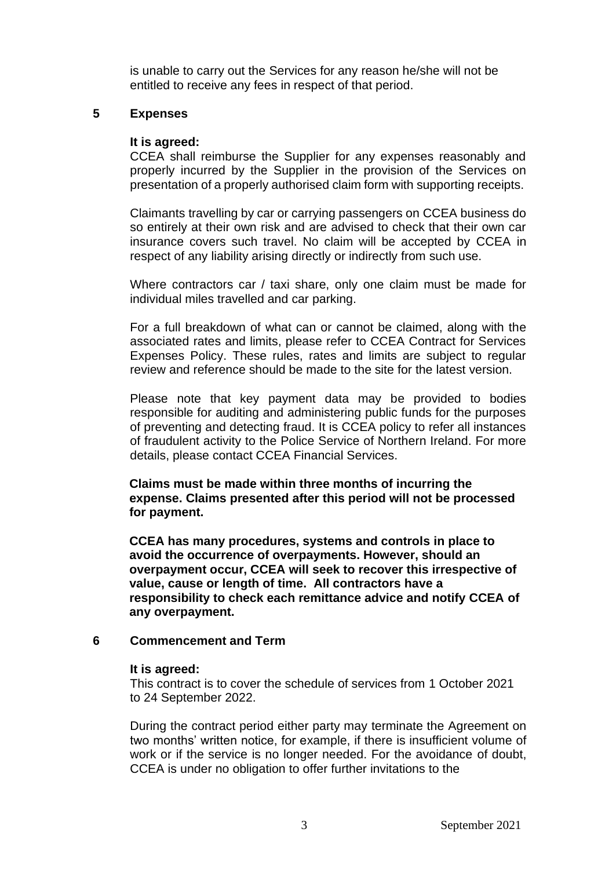is unable to carry out the Services for any reason he/she will not be entitled to receive any fees in respect of that period.

# **5 Expenses**

#### **It is agreed:**

CCEA shall reimburse the Supplier for any expenses reasonably and properly incurred by the Supplier in the provision of the Services on presentation of a properly authorised claim form with supporting receipts.

Claimants travelling by car or carrying passengers on CCEA business do so entirely at their own risk and are advised to check that their own car insurance covers such travel. No claim will be accepted by CCEA in respect of any liability arising directly or indirectly from such use.

Where contractors car / taxi share, only one claim must be made for individual miles travelled and car parking.

For a full breakdown of what can or cannot be claimed, along with the associated rates and limits, please refer to CCEA Contract for Services Expenses Policy. These rules, rates and limits are subject to regular review and reference should be made to the site for the latest version.

Please note that key payment data may be provided to bodies responsible for auditing and administering public funds for the purposes of preventing and detecting fraud. It is CCEA policy to refer all instances of fraudulent activity to the Police Service of Northern Ireland. For more details, please contact CCEA Financial Services.

**Claims must be made within three months of incurring the expense. Claims presented after this period will not be processed for payment.**

**CCEA has many procedures, systems and controls in place to avoid the occurrence of overpayments. However, should an overpayment occur, CCEA will seek to recover this irrespective of value, cause or length of time. All contractors have a responsibility to check each remittance advice and notify CCEA of any overpayment.**

## **6 Commencement and Term**

#### **It is agreed:**

This contract is to cover the schedule of services from 1 October 2021 to 24 September 2022.

During the contract period either party may terminate the Agreement on two months' written notice, for example, if there is insufficient volume of work or if the service is no longer needed. For the avoidance of doubt, CCEA is under no obligation to offer further invitations to the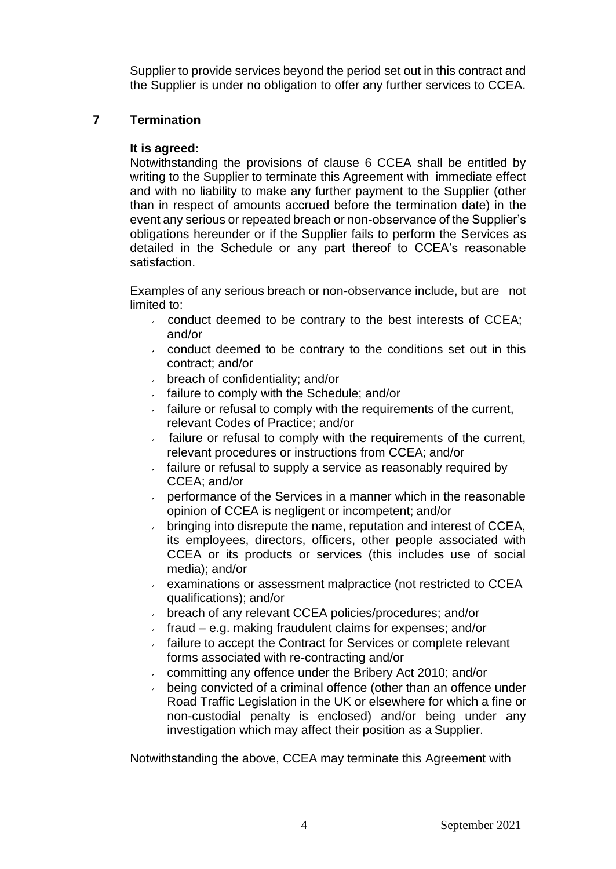Supplier to provide services beyond the period set out in this contract and the Supplier is under no obligation to offer any further services to CCEA.

# **7 Termination**

## **It is agreed:**

Notwithstanding the provisions of clause 6 CCEA shall be entitled by writing to the Supplier to terminate this Agreement with immediate effect and with no liability to make any further payment to the Supplier (other than in respect of amounts accrued before the termination date) in the event any serious or repeated breach or non-observance of the Supplier's obligations hereunder or if the Supplier fails to perform the Services as detailed in the Schedule or any part thereof to CCEA's reasonable satisfaction.

Examples of any serious breach or non-observance include, but are not limited to:

- $\sim$  conduct deemed to be contrary to the best interests of CCEA; and/or
- conduct deemed to be contrary to the conditions set out in this contract; and/or
- breach of confidentiality; and/or
- failure to comply with the Schedule; and/or
- failure or refusal to comply with the requirements of the current, relevant Codes of Practice; and/or
- $\epsilon$  failure or refusal to comply with the requirements of the current, relevant procedures or instructions from CCEA; and/or
- failure or refusal to supply a service as reasonably required by CCEA; and/or
- performance of the Services in a manner which in the reasonable opinion of CCEA is negligent or incompetent; and/or
- bringing into disrepute the name, reputation and interest of CCEA,  $\epsilon$ its employees, directors, officers, other people associated with CCEA or its products or services (this includes use of social media); and/or
- $\epsilon$  examinations or assessment malpractice (not restricted to CCEA qualifications); and/or
- breach of any relevant CCEA policies/procedures; and/or
- $\cdot$  fraud e.g. making fraudulent claims for expenses; and/or
- failure to accept the Contract for Services or complete relevant forms associated with re-contracting and/or
- committing any offence under the Bribery Act 2010; and/or
- being convicted of a criminal offence (other than an offence under Road Traffic Legislation in the UK or elsewhere for which a fine or non-custodial penalty is enclosed) and/or being under any investigation which may affect their position as a Supplier.

Notwithstanding the above, CCEA may terminate this Agreement with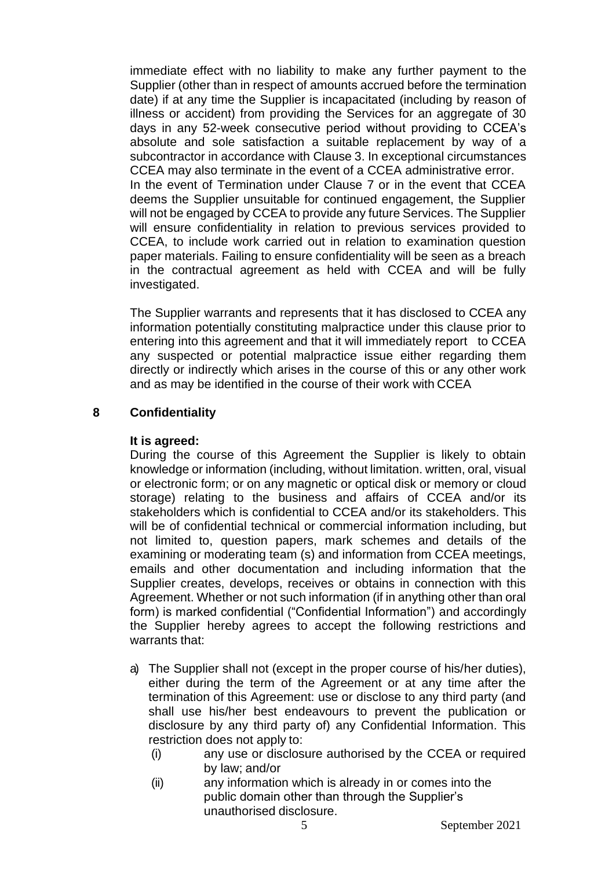immediate effect with no liability to make any further payment to the Supplier (other than in respect of amounts accrued before the termination date) if at any time the Supplier is incapacitated (including by reason of illness or accident) from providing the Services for an aggregate of 30 days in any 52-week consecutive period without providing to CCEA's absolute and sole satisfaction a suitable replacement by way of a subcontractor in accordance with Clause 3. In exceptional circumstances CCEA may also terminate in the event of a CCEA administrative error. In the event of Termination under Clause 7 or in the event that CCEA deems the Supplier unsuitable for continued engagement, the Supplier will not be engaged by CCEA to provide any future Services. The Supplier will ensure confidentiality in relation to previous services provided to CCEA, to include work carried out in relation to examination question paper materials. Failing to ensure confidentiality will be seen as a breach in the contractual agreement as held with CCEA and will be fully investigated.

The Supplier warrants and represents that it has disclosed to CCEA any information potentially constituting malpractice under this clause prior to entering into this agreement and that it will immediately report to CCEA any suspected or potential malpractice issue either regarding them directly or indirectly which arises in the course of this or any other work and as may be identified in the course of their work with CCEA

## **8 Confidentiality**

## **It is agreed:**

During the course of this Agreement the Supplier is likely to obtain knowledge or information (including, without limitation. written, oral, visual or electronic form; or on any magnetic or optical disk or memory or cloud storage) relating to the business and affairs of CCEA and/or its stakeholders which is confidential to CCEA and/or its stakeholders. This will be of confidential technical or commercial information including, but not limited to, question papers, mark schemes and details of the examining or moderating team (s) and information from CCEA meetings, emails and other documentation and including information that the Supplier creates, develops, receives or obtains in connection with this Agreement. Whether or not such information (if in anything other than oral form) is marked confidential ("Confidential Information") and accordingly the Supplier hereby agrees to accept the following restrictions and warrants that:

- a) The Supplier shall not (except in the proper course of his/her duties), either during the term of the Agreement or at any time after the termination of this Agreement: use or disclose to any third party (and shall use his/her best endeavours to prevent the publication or disclosure by any third party of) any Confidential Information. This restriction does not apply to:
	- (i) any use or disclosure authorised by the CCEA or required by law; and/or
	- (ii) any information which is already in or comes into the public domain other than through the Supplier's unauthorised disclosure.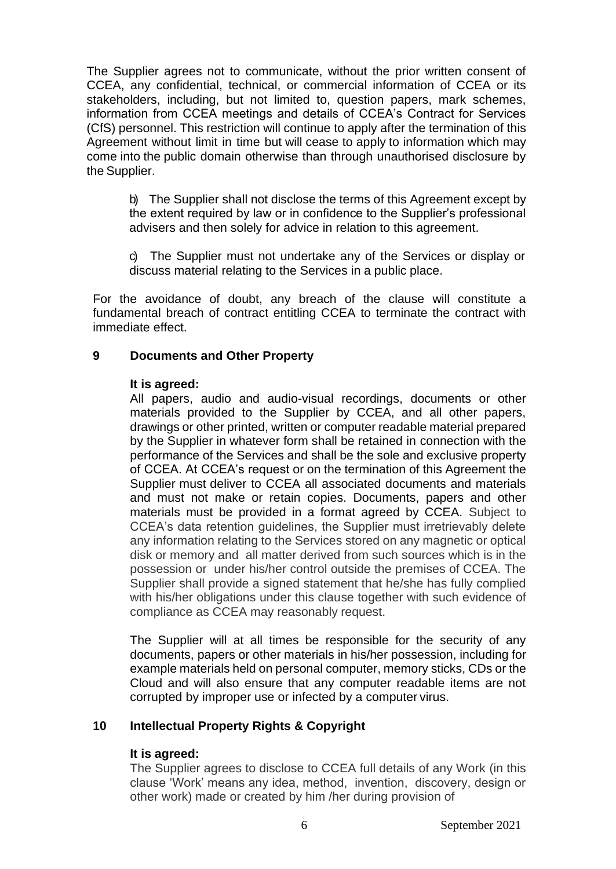The Supplier agrees not to communicate, without the prior written consent of CCEA, any confidential, technical, or commercial information of CCEA or its stakeholders, including, but not limited to, question papers, mark schemes, information from CCEA meetings and details of CCEA's Contract for Services (CfS) personnel. This restriction will continue to apply after the termination of this Agreement without limit in time but will cease to apply to information which may come into the public domain otherwise than through unauthorised disclosure by the Supplier.

b) The Supplier shall not disclose the terms of this Agreement except by the extent required by law or in confidence to the Supplier's professional advisers and then solely for advice in relation to this agreement.

c) The Supplier must not undertake any of the Services or display or discuss material relating to the Services in a public place.

For the avoidance of doubt, any breach of the clause will constitute a fundamental breach of contract entitling CCEA to terminate the contract with immediate effect.

# **9 Documents and Other Property**

#### **It is agreed:**

All papers, audio and audio-visual recordings, documents or other materials provided to the Supplier by CCEA, and all other papers, drawings or other printed, written or computer readable material prepared by the Supplier in whatever form shall be retained in connection with the performance of the Services and shall be the sole and exclusive property of CCEA. At CCEA's request or on the termination of this Agreement the Supplier must deliver to CCEA all associated documents and materials and must not make or retain copies. Documents, papers and other materials must be provided in a format agreed by CCEA. Subject to CCEA's data retention guidelines, the Supplier must irretrievably delete any information relating to the Services stored on any magnetic or optical disk or memory and all matter derived from such sources which is in the possession or under his/her control outside the premises of CCEA. The Supplier shall provide a signed statement that he/she has fully complied with his/her obligations under this clause together with such evidence of compliance as CCEA may reasonably request.

The Supplier will at all times be responsible for the security of any documents, papers or other materials in his/her possession, including for example materials held on personal computer, memory sticks, CDs or the Cloud and will also ensure that any computer readable items are not corrupted by improper use or infected by a computer virus.

## **10 Intellectual Property Rights & Copyright**

## **It is agreed:**

The Supplier agrees to disclose to CCEA full details of any Work (in this clause 'Work' means any idea, method, invention, discovery, design or other work) made or created by him /her during provision of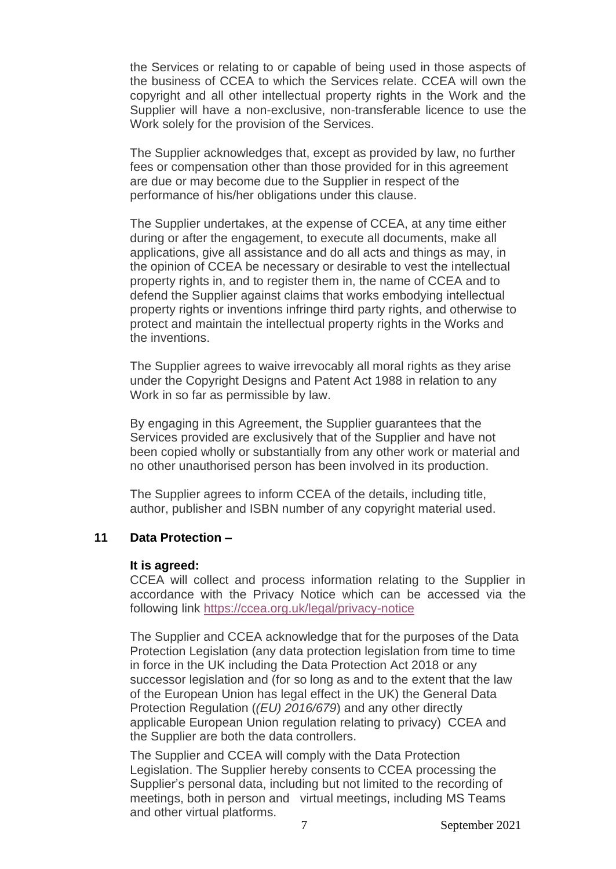the Services or relating to or capable of being used in those aspects of the business of CCEA to which the Services relate. CCEA will own the copyright and all other intellectual property rights in the Work and the Supplier will have a non-exclusive, non-transferable licence to use the Work solely for the provision of the Services.

The Supplier acknowledges that, except as provided by law, no further fees or compensation other than those provided for in this agreement are due or may become due to the Supplier in respect of the performance of his/her obligations under this clause.

The Supplier undertakes, at the expense of CCEA, at any time either during or after the engagement, to execute all documents, make all applications, give all assistance and do all acts and things as may, in the opinion of CCEA be necessary or desirable to vest the intellectual property rights in, and to register them in, the name of CCEA and to defend the Supplier against claims that works embodying intellectual property rights or inventions infringe third party rights, and otherwise to protect and maintain the intellectual property rights in the Works and the inventions.

The Supplier agrees to waive irrevocably all moral rights as they arise under the Copyright Designs and Patent Act 1988 in relation to any Work in so far as permissible by law.

By engaging in this Agreement, the Supplier guarantees that the Services provided are exclusively that of the Supplier and have not been copied wholly or substantially from any other work or material and no other unauthorised person has been involved in its production.

The Supplier agrees to inform CCEA of the details, including title, author, publisher and ISBN number of any copyright material used.

#### **11 Data Protection –**

#### **It is agreed:**

CCEA will collect and process information relating to the Supplier in accordance with the Privacy Notice which can be accessed via the following link<https://ccea.org.uk/legal/privacy-notice>

The Supplier and CCEA acknowledge that for the purposes of the Data Protection Legislation (any data protection legislation from time to time in force in the UK including the Data Protection Act 2018 or any successor legislation and (for so long as and to the extent that the law of the European Union has legal effect in the UK) the General Data Protection Regulation (*(EU) 2016/679*) and any other directly applicable European Union regulation relating to privacy) CCEA and the Supplier are both the data controllers.

The Supplier and CCEA will comply with the Data Protection Legislation. The Supplier hereby consents to CCEA processing the Supplier's personal data, including but not limited to the recording of meetings, both in person and virtual meetings, including MS Teams and other virtual platforms.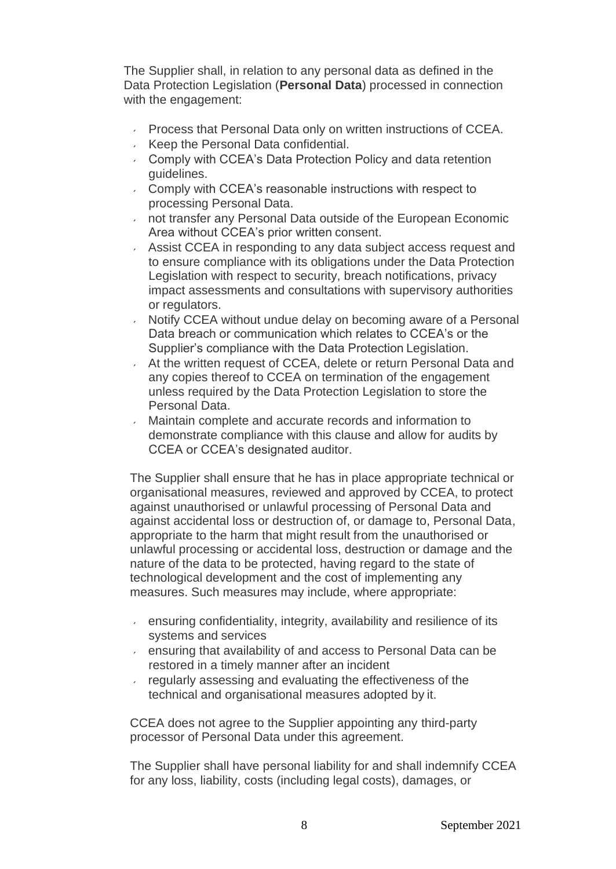The Supplier shall, in relation to any personal data as defined in the Data Protection Legislation (**Personal Data**) processed in connection with the engagement:

- **Process that Personal Data only on written instructions of CCEA.**
- Keep the Personal Data confidential.
- Comply with CCEA's Data Protection Policy and data retention guidelines.
- Comply with CCEA's reasonable instructions with respect to processing Personal Data.
- not transfer any Personal Data outside of the European Economic Area without CCEA's prior written consent.
- Assist CCEA in responding to any data subject access request and to ensure compliance with its obligations under the Data Protection Legislation with respect to security, breach notifications, privacy impact assessments and consultations with supervisory authorities or regulators.
- Notify CCEA without undue delay on becoming aware of a Personal Data breach or communication which relates to CCEA's or the Supplier's compliance with the Data Protection Legislation.
- At the written request of CCEA, delete or return Personal Data and any copies thereof to CCEA on termination of the engagement unless required by the Data Protection Legislation to store the Personal Data.
- Maintain complete and accurate records and information to demonstrate compliance with this clause and allow for audits by CCEA or CCEA's designated auditor.

The Supplier shall ensure that he has in place appropriate technical or organisational measures, reviewed and approved by CCEA, to protect against unauthorised or unlawful processing of Personal Data and against accidental loss or destruction of, or damage to, Personal Data, appropriate to the harm that might result from the unauthorised or unlawful processing or accidental loss, destruction or damage and the nature of the data to be protected, having regard to the state of technological development and the cost of implementing any measures. Such measures may include, where appropriate:

- ensuring confidentiality, integrity, availability and resilience of its systems and services
- ensuring that availability of and access to Personal Data can be restored in a timely manner after an incident
- regularly assessing and evaluating the effectiveness of the technical and organisational measures adopted by it.

CCEA does not agree to the Supplier appointing any third-party processor of Personal Data under this agreement.

The Supplier shall have personal liability for and shall indemnify CCEA for any loss, liability, costs (including legal costs), damages, or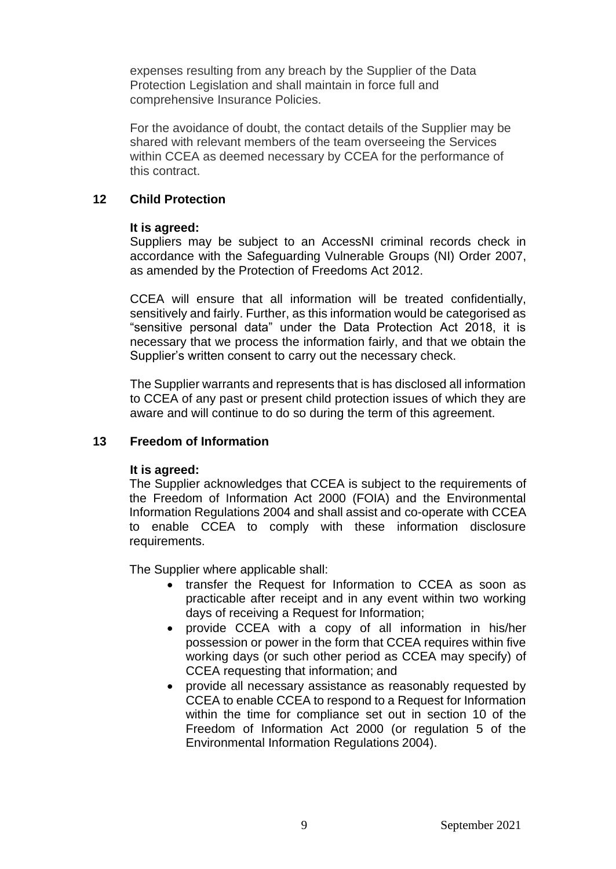expenses resulting from any breach by the Supplier of the Data Protection Legislation and shall maintain in force full and comprehensive Insurance Policies.

For the avoidance of doubt, the contact details of the Supplier may be shared with relevant members of the team overseeing the Services within CCEA as deemed necessary by CCEA for the performance of this contract.

# **12 Child Protection**

## **It is agreed:**

Suppliers may be subject to an AccessNI criminal records check in accordance with the Safeguarding Vulnerable Groups (NI) Order 2007, as amended by the Protection of Freedoms Act 2012.

CCEA will ensure that all information will be treated confidentially, sensitively and fairly. Further, as this information would be categorised as "sensitive personal data" under the Data Protection Act 2018, it is necessary that we process the information fairly, and that we obtain the Supplier's written consent to carry out the necessary check.

The Supplier warrants and represents that is has disclosed all information to CCEA of any past or present child protection issues of which they are aware and will continue to do so during the term of this agreement.

## **13 Freedom of Information**

## **It is agreed:**

The Supplier acknowledges that CCEA is subject to the requirements of the Freedom of Information Act 2000 (FOIA) and the Environmental Information Regulations 2004 and shall assist and co-operate with CCEA to enable CCEA to comply with these information disclosure requirements.

The Supplier where applicable shall:

- transfer the Request for Information to CCEA as soon as practicable after receipt and in any event within two working days of receiving a Request for Information;
- provide CCEA with a copy of all information in his/her possession or power in the form that CCEA requires within five working days (or such other period as CCEA may specify) of CCEA requesting that information; and
- provide all necessary assistance as reasonably requested by CCEA to enable CCEA to respond to a Request for Information within the time for compliance set out in section 10 of the Freedom of Information Act 2000 (or regulation 5 of the Environmental Information Regulations 2004).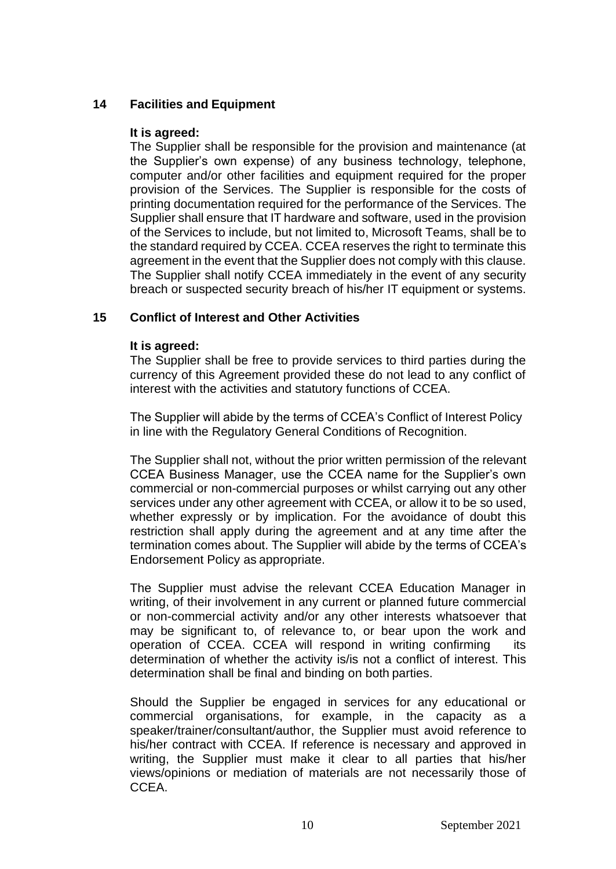# **14 Facilities and Equipment**

# **It is agreed:**

The Supplier shall be responsible for the provision and maintenance (at the Supplier's own expense) of any business technology, telephone, computer and/or other facilities and equipment required for the proper provision of the Services. The Supplier is responsible for the costs of printing documentation required for the performance of the Services. The Supplier shall ensure that IT hardware and software, used in the provision of the Services to include, but not limited to, Microsoft Teams, shall be to the standard required by CCEA. CCEA reserves the right to terminate this agreement in the event that the Supplier does not comply with this clause. The Supplier shall notify CCEA immediately in the event of any security breach or suspected security breach of his/her IT equipment or systems.

# **15 Conflict of Interest and Other Activities**

# **It is agreed:**

The Supplier shall be free to provide services to third parties during the currency of this Agreement provided these do not lead to any conflict of interest with the activities and statutory functions of CCEA.

The Supplier will abide by the terms of CCEA's Conflict of Interest Policy in line with the Regulatory General Conditions of Recognition.

The Supplier shall not, without the prior written permission of the relevant CCEA Business Manager, use the CCEA name for the Supplier's own commercial or non-commercial purposes or whilst carrying out any other services under any other agreement with CCEA, or allow it to be so used, whether expressly or by implication. For the avoidance of doubt this restriction shall apply during the agreement and at any time after the termination comes about. The Supplier will abide by the terms of CCEA's Endorsement Policy as appropriate.

The Supplier must advise the relevant CCEA Education Manager in writing, of their involvement in any current or planned future commercial or non-commercial activity and/or any other interests whatsoever that may be significant to, of relevance to, or bear upon the work and operation of CCEA. CCEA will respond in writing confirming its determination of whether the activity is/is not a conflict of interest. This determination shall be final and binding on both parties.

Should the Supplier be engaged in services for any educational or commercial organisations, for example, in the capacity as a speaker/trainer/consultant/author, the Supplier must avoid reference to his/her contract with CCEA. If reference is necessary and approved in writing, the Supplier must make it clear to all parties that his/her views/opinions or mediation of materials are not necessarily those of CCEA.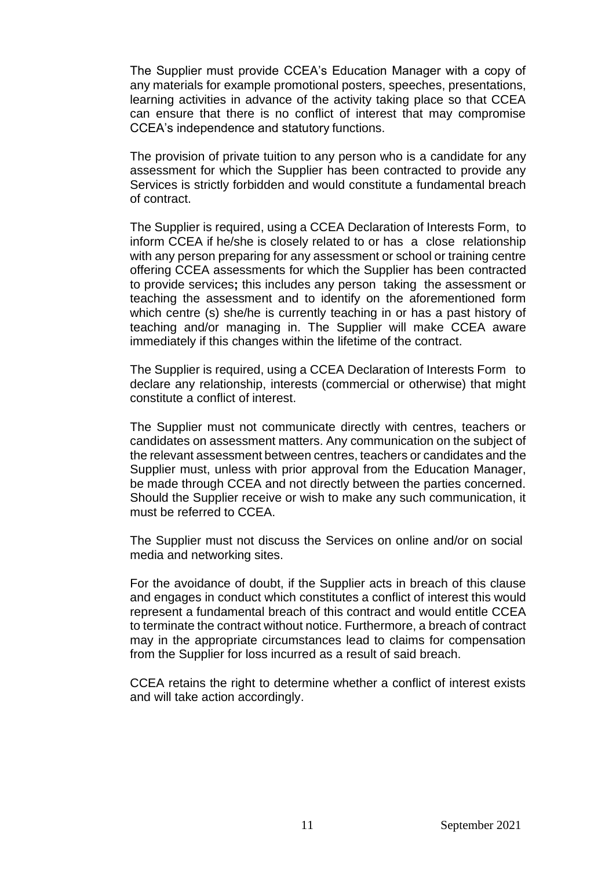The Supplier must provide CCEA's Education Manager with a copy of any materials for example promotional posters, speeches, presentations, learning activities in advance of the activity taking place so that CCEA can ensure that there is no conflict of interest that may compromise CCEA's independence and statutory functions.

The provision of private tuition to any person who is a candidate for any assessment for which the Supplier has been contracted to provide any Services is strictly forbidden and would constitute a fundamental breach of contract.

The Supplier is required, using a CCEA Declaration of Interests Form, to inform CCEA if he/she is closely related to or has a close relationship with any person preparing for any assessment or school or training centre offering CCEA assessments for which the Supplier has been contracted to provide services**;** this includes any person taking the assessment or teaching the assessment and to identify on the aforementioned form which centre (s) she/he is currently teaching in or has a past history of teaching and/or managing in. The Supplier will make CCEA aware immediately if this changes within the lifetime of the contract.

The Supplier is required, using a CCEA Declaration of Interests Form to declare any relationship, interests (commercial or otherwise) that might constitute a conflict of interest.

The Supplier must not communicate directly with centres, teachers or candidates on assessment matters. Any communication on the subject of the relevant assessment between centres, teachers or candidates and the Supplier must, unless with prior approval from the Education Manager, be made through CCEA and not directly between the parties concerned. Should the Supplier receive or wish to make any such communication, it must be referred to CCEA.

The Supplier must not discuss the Services on online and/or on social media and networking sites.

For the avoidance of doubt, if the Supplier acts in breach of this clause and engages in conduct which constitutes a conflict of interest this would represent a fundamental breach of this contract and would entitle CCEA to terminate the contract without notice. Furthermore, a breach of contract may in the appropriate circumstances lead to claims for compensation from the Supplier for loss incurred as a result of said breach.

CCEA retains the right to determine whether a conflict of interest exists and will take action accordingly.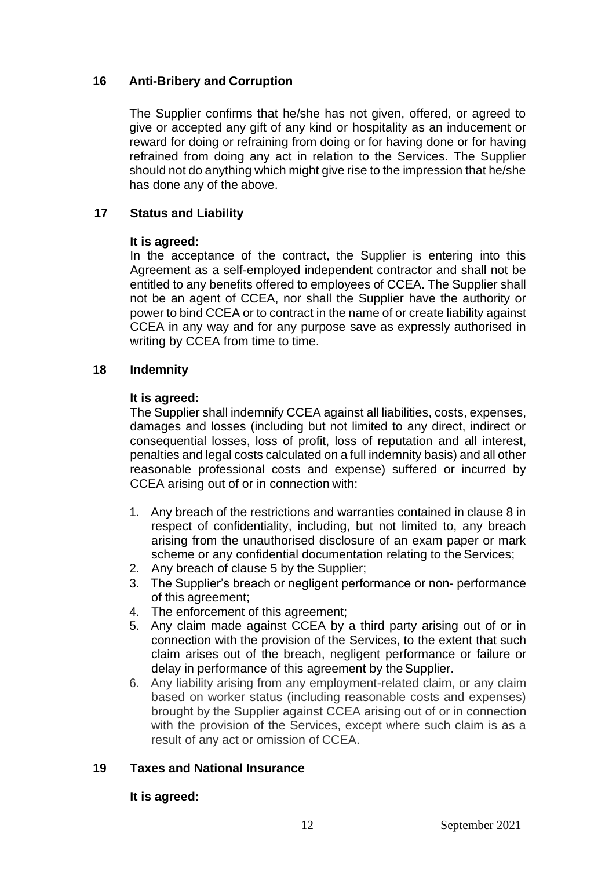# **16 Anti-Bribery and Corruption**

The Supplier confirms that he/she has not given, offered, or agreed to give or accepted any gift of any kind or hospitality as an inducement or reward for doing or refraining from doing or for having done or for having refrained from doing any act in relation to the Services. The Supplier should not do anything which might give rise to the impression that he/she has done any of the above.

# **17 Status and Liability**

## **It is agreed:**

In the acceptance of the contract, the Supplier is entering into this Agreement as a self-employed independent contractor and shall not be entitled to any benefits offered to employees of CCEA. The Supplier shall not be an agent of CCEA, nor shall the Supplier have the authority or power to bind CCEA or to contract in the name of or create liability against CCEA in any way and for any purpose save as expressly authorised in writing by CCEA from time to time.

## **18 Indemnity**

## **It is agreed:**

The Supplier shall indemnify CCEA against all liabilities, costs, expenses, damages and losses (including but not limited to any direct, indirect or consequential losses, loss of profit, loss of reputation and all interest, penalties and legal costs calculated on a full indemnity basis) and all other reasonable professional costs and expense) suffered or incurred by CCEA arising out of or in connection with:

- 1. Any breach of the restrictions and warranties contained in clause 8 in respect of confidentiality, including, but not limited to, any breach arising from the unauthorised disclosure of an exam paper or mark scheme or any confidential documentation relating to the Services;
- 2. Any breach of clause 5 by the Supplier;
- 3. The Supplier's breach or negligent performance or non- performance of this agreement;
- 4. The enforcement of this agreement;
- 5. Any claim made against CCEA by a third party arising out of or in connection with the provision of the Services, to the extent that such claim arises out of the breach, negligent performance or failure or delay in performance of this agreement by the Supplier.
- 6. Any liability arising from any employment-related claim, or any claim based on worker status (including reasonable costs and expenses) brought by the Supplier against CCEA arising out of or in connection with the provision of the Services, except where such claim is as a result of any act or omission of CCEA.

# **19 Taxes and National Insurance**

## **It is agreed:**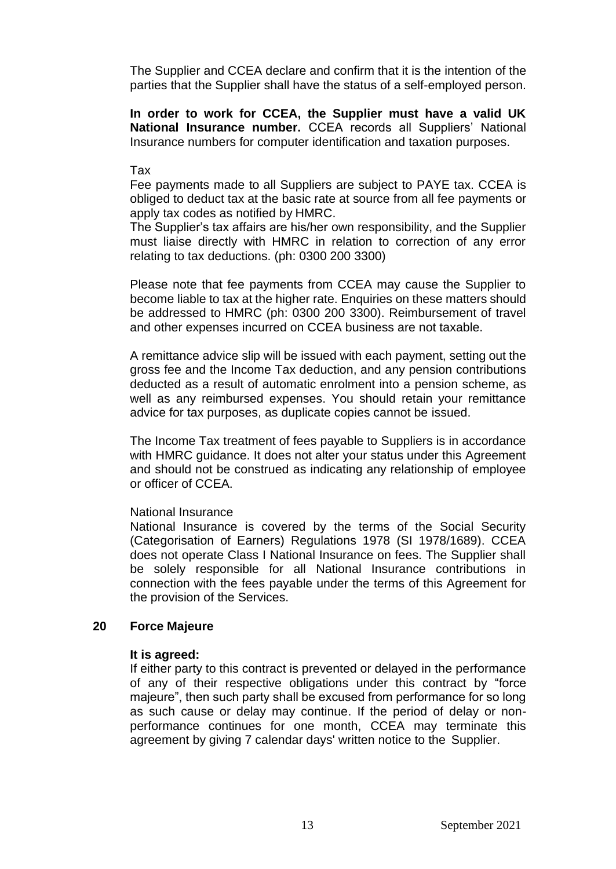The Supplier and CCEA declare and confirm that it is the intention of the parties that the Supplier shall have the status of a self-employed person.

**In order to work for CCEA, the Supplier must have a valid UK National Insurance number.** CCEA records all Suppliers' National Insurance numbers for computer identification and taxation purposes.

#### Tax

Fee payments made to all Suppliers are subject to PAYE tax. CCEA is obliged to deduct tax at the basic rate at source from all fee payments or apply tax codes as notified by HMRC.

The Supplier's tax affairs are his/her own responsibility, and the Supplier must liaise directly with HMRC in relation to correction of any error relating to tax deductions. (ph: 0300 200 3300)

Please note that fee payments from CCEA may cause the Supplier to become liable to tax at the higher rate. Enquiries on these matters should be addressed to HMRC (ph: 0300 200 3300). Reimbursement of travel and other expenses incurred on CCEA business are not taxable.

A remittance advice slip will be issued with each payment, setting out the gross fee and the Income Tax deduction, and any pension contributions deducted as a result of automatic enrolment into a pension scheme, as well as any reimbursed expenses. You should retain your remittance advice for tax purposes, as duplicate copies cannot be issued.

The Income Tax treatment of fees payable to Suppliers is in accordance with HMRC guidance. It does not alter your status under this Agreement and should not be construed as indicating any relationship of employee or officer of CCEA.

#### National Insurance

National Insurance is covered by the terms of the Social Security (Categorisation of Earners) Regulations 1978 (SI 1978/1689). CCEA does not operate Class I National Insurance on fees. The Supplier shall be solely responsible for all National Insurance contributions in connection with the fees payable under the terms of this Agreement for the provision of the Services.

#### **20 Force Majeure**

#### **It is agreed:**

If either party to this contract is prevented or delayed in the performance of any of their respective obligations under this contract by "force majeure", then such party shall be excused from performance for so long as such cause or delay may continue. If the period of delay or nonperformance continues for one month, CCEA may terminate this agreement by giving 7 calendar days' written notice to the Supplier.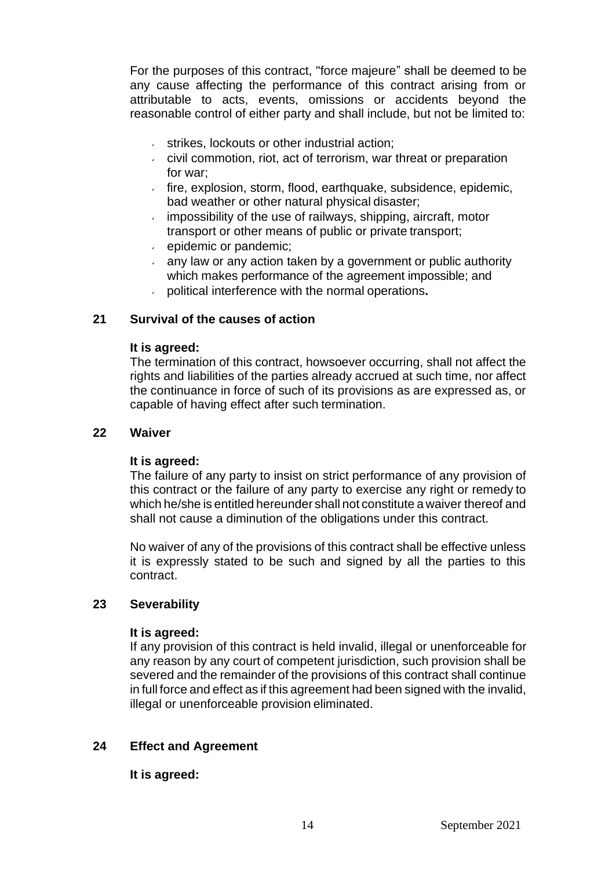For the purposes of this contract, "force majeure" shall be deemed to be any cause affecting the performance of this contract arising from or attributable to acts, events, omissions or accidents beyond the reasonable control of either party and shall include, but not be limited to:

- strikes, lockouts or other industrial action;
- civil commotion, riot, act of terrorism, war threat or preparation for war;
- $\overline{a}$  fire, explosion, storm, flood, earthquake, subsidence, epidemic, bad weather or other natural physical disaster;
- $\cdot$  impossibility of the use of railways, shipping, aircraft, motor transport or other means of public or private transport;
- epidemic or pandemic;
- any law or any action taken by a government or public authority which makes performance of the agreement impossible; and
- political interference with the normal operations**.**

## **21 Survival of the causes of action**

#### **It is agreed:**

The termination of this contract, howsoever occurring, shall not affect the rights and liabilities of the parties already accrued at such time, nor affect the continuance in force of such of its provisions as are expressed as, or capable of having effect after such termination.

#### **22 Waiver**

## **It is agreed:**

The failure of any party to insist on strict performance of any provision of this contract or the failure of any party to exercise any right or remedy to which he/she is entitled hereunder shall not constitute a waiver thereof and shall not cause a diminution of the obligations under this contract.

No waiver of any of the provisions of this contract shall be effective unless it is expressly stated to be such and signed by all the parties to this contract.

## **23 Severability**

#### **It is agreed:**

If any provision of this contract is held invalid, illegal or unenforceable for any reason by any court of competent jurisdiction, such provision shall be severed and the remainder of the provisions of this contract shall continue in full force and effect as if this agreement had been signed with the invalid, illegal or unenforceable provision eliminated.

## **24 Effect and Agreement**

## **It is agreed:**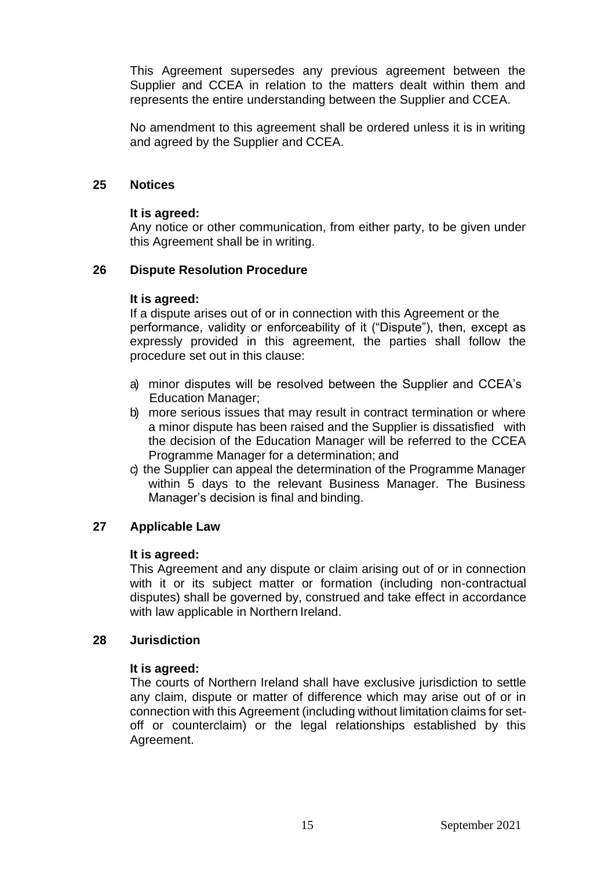This Agreement supersedes any previous agreement between the Supplier and CCEA in relation to the matters dealt within them and represents the entire understanding between the Supplier and CCEA.

No amendment to this agreement shall be ordered unless it is in writing and agreed by the Supplier and CCEA.

#### **25 Notices**

#### **It is agreed:**

Any notice or other communication, from either party, to be given under this Agreement shall be in writing.

#### **26 Dispute Resolution Procedure**

#### **It is agreed:**

If a dispute arises out of or in connection with this Agreement or the performance, validity or enforceability of it ("Dispute"), then, except as expressly provided in this agreement, the parties shall follow the procedure set out in this clause:

- a) minor disputes will be resolved between the Supplier and CCEA's Education Manager;
- b) more serious issues that may result in contract termination or where a minor dispute has been raised and the Supplier is dissatisfied with the decision of the Education Manager will be referred to the CCEA Programme Manager for a determination; and
- c) the Supplier can appeal the determination of the Programme Manager within 5 days to the relevant Business Manager. The Business Manager's decision is final and binding.

## **27 Applicable Law**

#### **It is agreed:**

This Agreement and any dispute or claim arising out of or in connection with it or its subject matter or formation (including non-contractual disputes) shall be governed by, construed and take effect in accordance with law applicable in Northern Ireland.

#### **28 Jurisdiction**

#### **It is agreed:**

The courts of Northern Ireland shall have exclusive jurisdiction to settle any claim, dispute or matter of difference which may arise out of or in connection with this Agreement (including without limitation claims for setoff or counterclaim) or the legal relationships established by this Agreement.